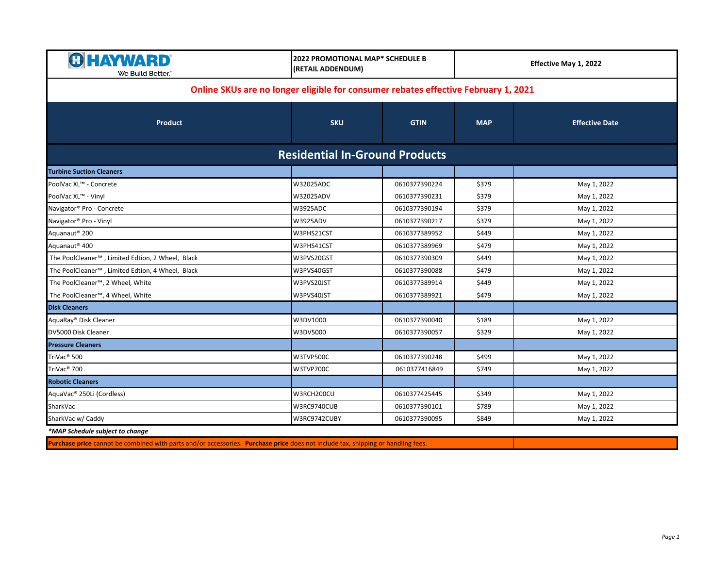| <b>G HAYWARD</b><br>We Build Better."                                              | 2022 PROMOTIONAL MAP* SCHEDULE B<br>(RETAIL ADDENDUM) |               | Effective May 1, 2022 |                       |  |  |
|------------------------------------------------------------------------------------|-------------------------------------------------------|---------------|-----------------------|-----------------------|--|--|
| Online SKUs are no longer eligible for consumer rebates effective February 1, 2021 |                                                       |               |                       |                       |  |  |
| <b>Product</b>                                                                     | <b>SKU</b>                                            | <b>GTIN</b>   | <b>MAP</b>            | <b>Effective Date</b> |  |  |
|                                                                                    | <b>Residential In-Ground Products</b>                 |               |                       |                       |  |  |
| <b>Turbine Suction Cleaners</b>                                                    |                                                       |               |                       |                       |  |  |
| PoolVac XL™ - Concrete                                                             | W32025ADC                                             | 0610377390224 | \$379                 | May 1, 2022           |  |  |
| PoolVac XL™ - Vinyl                                                                | W32025ADV                                             | 0610377390231 | \$379                 | May 1, 2022           |  |  |
| Navigator® Pro - Concrete                                                          | <b>W3925ADC</b>                                       | 0610377390194 | \$379                 | May 1, 2022           |  |  |
| Navigator® Pro - Vinyl                                                             | <b>W3925ADV</b>                                       | 0610377390217 | \$379                 | May 1, 2022           |  |  |
| Aquanaut <sup>®</sup> 200                                                          | W3PHS21CST                                            | 0610377389952 | \$449                 | May 1, 2022           |  |  |
| Aquanaut <sup>®</sup> 400                                                          | W3PHS41CST                                            | 0610377389969 | \$479                 | May 1, 2022           |  |  |
| The PoolCleaner <sup>™</sup> , Limited Edtion, 2 Wheel, Black                      | W3PVS20GST                                            | 0610377390309 | \$449                 | May 1, 2022           |  |  |
| The PoolCleaner™, Limited Edtion, 4 Wheel, Black                                   | W3PVS40GST                                            | 0610377390088 | \$479                 | May 1, 2022           |  |  |
| The PoolCleaner <sup>™</sup> , 2 Wheel, White                                      | W3PVS20JST                                            | 0610377389914 | \$449                 | May 1, 2022           |  |  |
| The PoolCleaner™, 4 Wheel, White                                                   | W3PVS40JST                                            | 0610377389921 | \$479                 | May 1, 2022           |  |  |
| <b>Disk Cleaners</b>                                                               |                                                       |               |                       |                       |  |  |
| AquaRay® Disk Cleaner                                                              | W3DV1000                                              | 0610377390040 | \$189                 | May 1, 2022           |  |  |
| DV5000 Disk Cleaner                                                                | W3DV5000                                              | 0610377390057 | \$329                 | May 1, 2022           |  |  |
| <b>Pressure Cleaners</b>                                                           |                                                       |               |                       |                       |  |  |
| TriVac <sup>®</sup> 500                                                            | W3TVP500C                                             | 0610377390248 | \$499                 | May 1, 2022           |  |  |
| TriVac <sup>®</sup> 700                                                            | W3TVP700C                                             | 0610377416849 | \$749                 | May 1, 2022           |  |  |
| <b>Robotic Cleaners</b>                                                            |                                                       |               |                       |                       |  |  |
| AquaVac® 250Li (Cordless)                                                          | W3RCH200CU                                            | 0610377425445 | \$349                 | May 1, 2022           |  |  |
| SharkVac                                                                           | W3RC9740CUB                                           | 0610377390101 | \$789                 | May 1, 2022           |  |  |
| SharkVac w/ Caddy                                                                  | W3RC9742CUBY                                          | 0610377390095 | \$849                 | May 1, 2022           |  |  |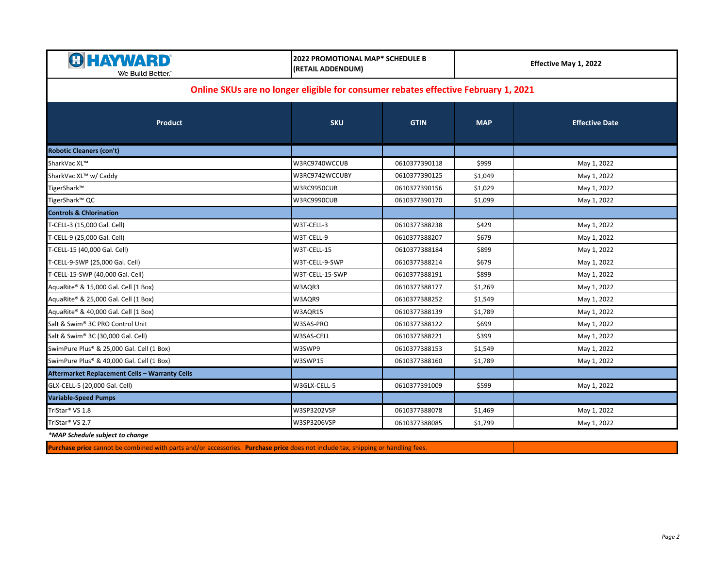| <b>HAYWARD</b><br>We Build Better."                                                | 2022 PROMOTIONAL MAP* SCHEDULE B<br>(RETAIL ADDENDUM) |               | Effective May 1, 2022 |                       |  |  |
|------------------------------------------------------------------------------------|-------------------------------------------------------|---------------|-----------------------|-----------------------|--|--|
| Online SKUs are no longer eligible for consumer rebates effective February 1, 2021 |                                                       |               |                       |                       |  |  |
| Product                                                                            | <b>SKU</b>                                            | <b>GTIN</b>   | <b>MAP</b>            | <b>Effective Date</b> |  |  |
| <b>Robotic Cleaners (con't)</b>                                                    |                                                       |               |                       |                       |  |  |
| SharkVac XL™                                                                       | W3RC9740WCCUB                                         | 0610377390118 | \$999                 | May 1, 2022           |  |  |
| SharkVac XL™ w/ Caddy                                                              | W3RC9742WCCUBY                                        | 0610377390125 | \$1,049               | May 1, 2022           |  |  |
| TigerShark™                                                                        | W3RC9950CUB                                           | 0610377390156 | \$1,029               | May 1, 2022           |  |  |
| TigerShark™ QC                                                                     | W3RC9990CUB                                           | 0610377390170 | \$1,099               | May 1, 2022           |  |  |
| <b>Controls &amp; Chlorination</b>                                                 |                                                       |               |                       |                       |  |  |
| T-CELL-3 (15,000 Gal. Cell)                                                        | W3T-CELL-3                                            | 0610377388238 | \$429                 | May 1, 2022           |  |  |
| T-CELL-9 (25,000 Gal. Cell)                                                        | W3T-CELL-9                                            | 0610377388207 | \$679                 | May 1, 2022           |  |  |
| T-CELL-15 (40,000 Gal. Cell)                                                       | W3T-CELL-15                                           | 0610377388184 | \$899                 | May 1, 2022           |  |  |
| T-CELL-9-SWP (25,000 Gal. Cell)                                                    | W3T-CELL-9-SWP                                        | 0610377388214 | \$679                 | May 1, 2022           |  |  |
| T-CELL-15-SWP (40,000 Gal. Cell)                                                   | W3T-CELL-15-SWP                                       | 0610377388191 | \$899                 | May 1, 2022           |  |  |
| AquaRite® & 15,000 Gal. Cell (1 Box)                                               | W3AQR3                                                | 0610377388177 | \$1,269               | May 1, 2022           |  |  |
| AquaRite® & 25,000 Gal. Cell (1 Box)                                               | W3AQR9                                                | 0610377388252 | \$1,549               | May 1, 2022           |  |  |
| AquaRite® & 40,000 Gal. Cell (1 Box)                                               | W3AQR15                                               | 0610377388139 | \$1,789               | May 1, 2022           |  |  |
| Salt & Swim <sup>®</sup> 3C PRO Control Unit                                       | W3SAS-PRO                                             | 0610377388122 | \$699                 | May 1, 2022           |  |  |
| Salt & Swim® 3C (30,000 Gal. Cell)                                                 | W3SAS-CELL                                            | 0610377388221 | \$399                 | May 1, 2022           |  |  |
| SwimPure Plus® & 25,000 Gal. Cell (1 Box)                                          | W3SWP9                                                | 0610377388153 | \$1,549               | May 1, 2022           |  |  |
| SwimPure Plus® & 40,000 Gal. Cell (1 Box)                                          | W3SWP15                                               | 0610377388160 | \$1,789               | May 1, 2022           |  |  |
| Aftermarket Replacement Cells - Warranty Cells                                     |                                                       |               |                       |                       |  |  |
| GLX-CELL-5 (20,000 Gal. Cell)                                                      | W3GLX-CELL-5                                          | 0610377391009 | \$599                 | May 1, 2022           |  |  |
| <b>Variable-Speed Pumps</b>                                                        |                                                       |               |                       |                       |  |  |
| TriStar <sup>®</sup> VS 1.8                                                        | W3SP3202VSP                                           | 0610377388078 | \$1,469               | May 1, 2022           |  |  |
| TriStar® VS 2.7                                                                    | W3SP3206VSP                                           | 0610377388085 | \$1,799               | May 1, 2022           |  |  |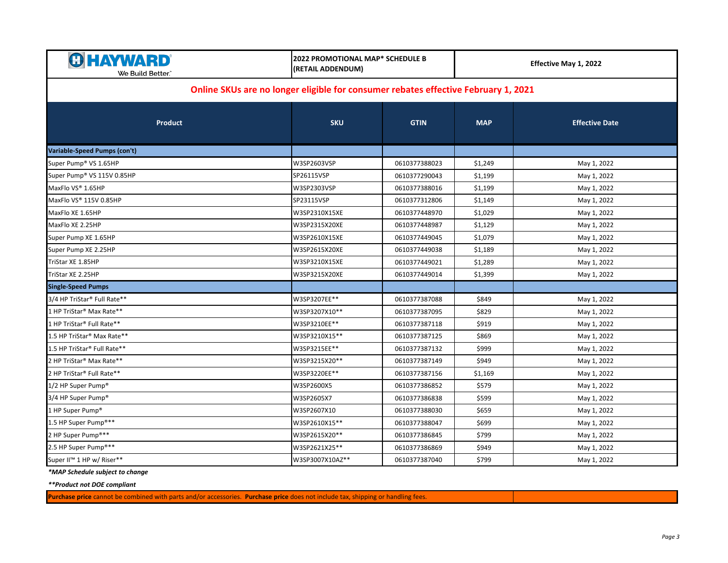| <b>HAYWARD</b><br>We Build Better.~                                                | <b>2022 PROMOTIONAL MAP* SCHEDULE B</b><br>(RETAIL ADDENDUM) |               | Effective May 1, 2022 |                       |  |
|------------------------------------------------------------------------------------|--------------------------------------------------------------|---------------|-----------------------|-----------------------|--|
| Online SKUs are no longer eligible for consumer rebates effective February 1, 2021 |                                                              |               |                       |                       |  |
| Product                                                                            | <b>SKU</b>                                                   | <b>GTIN</b>   | <b>MAP</b>            | <b>Effective Date</b> |  |
| Variable-Speed Pumps (con't)                                                       |                                                              |               |                       |                       |  |
| Super Pump® VS 1.65HP                                                              | W3SP2603VSP                                                  | 0610377388023 | \$1,249               | May 1, 2022           |  |
| Super Pump® VS 115V 0.85HP                                                         | SP26115VSP                                                   | 0610377290043 | \$1,199               | May 1, 2022           |  |
| MaxFlo VS® 1.65HP                                                                  | W3SP2303VSP                                                  | 0610377388016 | \$1,199               | May 1, 2022           |  |
| MaxFlo VS® 115V 0.85HP                                                             | SP23115VSP                                                   | 0610377312806 | \$1,149               | May 1, 2022           |  |
| MaxFlo XE 1.65HP                                                                   | W3SP2310X15XE                                                | 0610377448970 | \$1,029               | May 1, 2022           |  |
| MaxFlo XE 2.25HP                                                                   | W3SP2315X20XE                                                | 0610377448987 | \$1,129               | May 1, 2022           |  |
| Super Pump XE 1.65HP                                                               | W3SP2610X15XE                                                | 0610377449045 | \$1,079               | May 1, 2022           |  |
| Super Pump XE 2.25HP                                                               | W3SP2615X20XE                                                | 0610377449038 | \$1,189               | May 1, 2022           |  |
| TriStar XE 1.85HP                                                                  | W3SP3210X15XE                                                | 0610377449021 | \$1,289               | May 1, 2022           |  |
| TriStar XE 2.25HP                                                                  | W3SP3215X20XE                                                | 0610377449014 | \$1,399               | May 1, 2022           |  |
| <b>Single-Speed Pumps</b>                                                          |                                                              |               |                       |                       |  |
| 3/4 HP TriStar® Full Rate**                                                        | W3SP3207EE**                                                 | 0610377387088 | \$849                 | May 1, 2022           |  |
| 1 HP TriStar <sup>®</sup> Max Rate**                                               | W3SP3207X10**                                                | 0610377387095 | \$829                 | May 1, 2022           |  |
| 1 HP TriStar® Full Rate**                                                          | W3SP3210EE**                                                 | 0610377387118 | \$919                 | May 1, 2022           |  |
| 1.5 HP TriStar® Max Rate**                                                         | W3SP3210X15**                                                | 0610377387125 | \$869                 | May 1, 2022           |  |
| 1.5 HP TriStar® Full Rate**                                                        | W3SP3215EE**                                                 | 0610377387132 | \$999                 | May 1, 2022           |  |
| 2 HP TriStar® Max Rate**                                                           | W3SP3215X20**                                                | 0610377387149 | \$949                 | May 1, 2022           |  |
| 2 HP TriStar® Full Rate**                                                          | W3SP3220EE**                                                 | 0610377387156 | \$1,169               | May 1, 2022           |  |
| 1/2 HP Super Pump <sup>®</sup>                                                     | W3SP2600X5                                                   | 0610377386852 | \$579                 | May 1, 2022           |  |
| 3/4 HP Super Pump <sup>®</sup>                                                     | W3SP2605X7                                                   | 0610377386838 | \$599                 | May 1, 2022           |  |
| 1 HP Super Pump <sup>®</sup>                                                       | W3SP2607X10                                                  | 0610377388030 | \$659                 | May 1, 2022           |  |
| 1.5 HP Super Pump®**                                                               | W3SP2610X15**                                                | 0610377388047 | \$699                 | May 1, 2022           |  |
| 2 HP Super Pump®**                                                                 | W3SP2615X20**                                                | 0610377386845 | \$799                 | May 1, 2022           |  |
| 2.5 HP Super Pump®**                                                               | W3SP2621X25**                                                | 0610377386869 | \$949                 | May 1, 2022           |  |
| Super II™ 1 HP w/ Riser**                                                          | W3SP3007X10AZ**                                              | 0610377387040 | \$799                 | May 1, 2022           |  |

*\*\*Product not DOE compliant*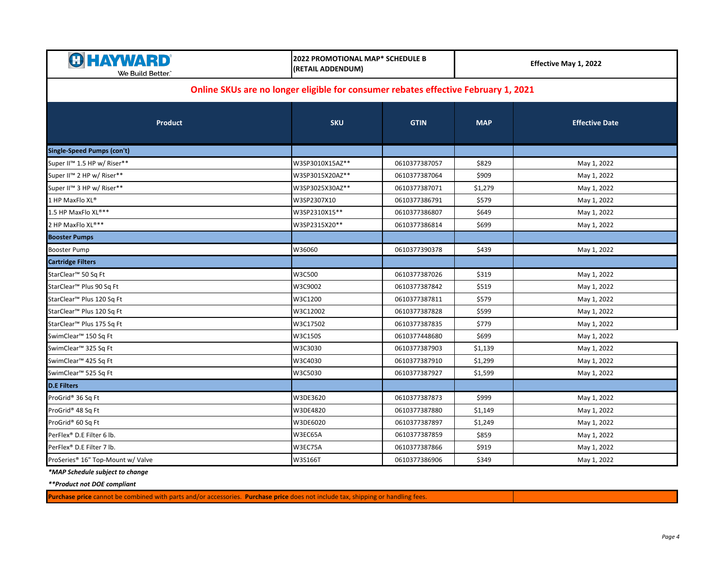| <b>HAYWARD</b> ®<br>We Build Better.                                               | <b>2022 PROMOTIONAL MAP* SCHEDULE B</b><br>(RETAIL ADDENDUM) |               | Effective May 1, 2022 |                       |  |
|------------------------------------------------------------------------------------|--------------------------------------------------------------|---------------|-----------------------|-----------------------|--|
| Online SKUs are no longer eligible for consumer rebates effective February 1, 2021 |                                                              |               |                       |                       |  |
| <b>Product</b>                                                                     | <b>SKU</b>                                                   | <b>GTIN</b>   | <b>MAP</b>            | <b>Effective Date</b> |  |
| <b>Single-Speed Pumps (con't)</b>                                                  |                                                              |               |                       |                       |  |
| Super II™ 1.5 HP w/ Riser**                                                        | W3SP3010X15AZ**                                              | 0610377387057 | \$829                 | May 1, 2022           |  |
| Super II™ 2 HP w/ Riser**                                                          | W3SP3015X20AZ**                                              | 0610377387064 | \$909                 | May 1, 2022           |  |
| Super II™ 3 HP w/ Riser**                                                          | W3SP3025X30AZ**                                              | 0610377387071 | \$1,279               | May 1, 2022           |  |
| 1 HP MaxFlo XL®                                                                    | W3SP2307X10                                                  | 0610377386791 | \$579                 | May 1, 2022           |  |
| 1.5 HP MaxFlo XL®**                                                                | W3SP2310X15**                                                | 0610377386807 | \$649                 | May 1, 2022           |  |
| 2 HP MaxFlo XL®**                                                                  | W3SP2315X20**                                                | 0610377386814 | \$699                 | May 1, 2022           |  |
| <b>Booster Pumps</b>                                                               |                                                              |               |                       |                       |  |
| <b>Booster Pump</b>                                                                | W36060                                                       | 0610377390378 | \$439                 | May 1, 2022           |  |
| <b>Cartridge Filters</b>                                                           |                                                              |               |                       |                       |  |
| StarClear™ 50 Sq Ft                                                                | W3C500                                                       | 0610377387026 | \$319                 | May 1, 2022           |  |
| StarClear <sup>™</sup> Plus 90 Sq Ft                                               | W3C9002                                                      | 0610377387842 | \$519                 | May 1, 2022           |  |
| StarClear <sup>™</sup> Plus 120 Sq Ft                                              | W3C1200                                                      | 0610377387811 | \$579                 | May 1, 2022           |  |
| StarClear <sup>™</sup> Plus 120 Sq Ft                                              | W3C12002                                                     | 0610377387828 | \$599                 | May 1, 2022           |  |
| StarClear <sup>™</sup> Plus 175 Sq Ft                                              | W3C17502                                                     | 0610377387835 | \$779                 | May 1, 2022           |  |
| SwimClear <sup>™</sup> 150 Sq Ft                                                   | W3C150S                                                      | 0610377448680 | \$699                 | May 1, 2022           |  |
| SwimClear <sup>™</sup> 325 Sq Ft                                                   | W3C3030                                                      | 0610377387903 | \$1,139               | May 1, 2022           |  |
| SwimClear <sup>™</sup> 425 Sq Ft                                                   | W3C4030                                                      | 0610377387910 | \$1,299               | May 1, 2022           |  |
| SwimClear <sup>™</sup> 525 Sq Ft                                                   | W3C5030                                                      | 0610377387927 | \$1,599               | May 1, 2022           |  |
| <b>D.E Filters</b>                                                                 |                                                              |               |                       |                       |  |
| ProGrid® 36 Sq Ft                                                                  | W3DE3620                                                     | 0610377387873 | \$999                 | May 1, 2022           |  |
| ProGrid® 48 Sq Ft                                                                  | W3DE4820                                                     | 0610377387880 | \$1,149               | May 1, 2022           |  |
| ProGrid® 60 Sq Ft                                                                  | W3DE6020                                                     | 0610377387897 | \$1,249               | May 1, 2022           |  |
| PerFlex® D.E Filter 6 lb.                                                          | W3EC65A                                                      | 0610377387859 | \$859                 | May 1, 2022           |  |
| PerFlex® D.E Filter 7 lb.                                                          | W3EC75A                                                      | 0610377387866 | \$919                 | May 1, 2022           |  |
| ProSeries® 16" Top-Mount w/ Valve                                                  | W3S166T                                                      | 0610377386906 | \$349                 | May 1, 2022           |  |

*\*\*Product not DOE compliant*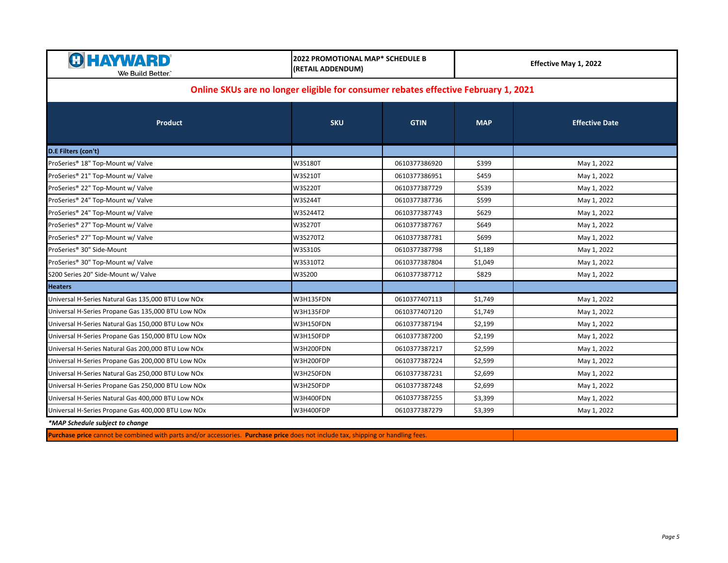| <b>HAYWARD</b><br>We Build Better.                                                 | 2022 PROMOTIONAL MAP* SCHEDULE B<br>(RETAIL ADDENDUM) |               | Effective May 1, 2022 |                       |  |  |
|------------------------------------------------------------------------------------|-------------------------------------------------------|---------------|-----------------------|-----------------------|--|--|
| Online SKUs are no longer eligible for consumer rebates effective February 1, 2021 |                                                       |               |                       |                       |  |  |
| Product                                                                            | <b>SKU</b>                                            | <b>GTIN</b>   | <b>MAP</b>            | <b>Effective Date</b> |  |  |
| D.E Filters (con't)                                                                |                                                       |               |                       |                       |  |  |
| ProSeries® 18" Top-Mount w/ Valve                                                  | W3S180T                                               | 0610377386920 | \$399                 | May 1, 2022           |  |  |
| ProSeries® 21" Top-Mount w/ Valve                                                  | W3S210T                                               | 0610377386951 | \$459                 | May 1, 2022           |  |  |
| ProSeries® 22" Top-Mount w/ Valve                                                  | W3S220T                                               | 0610377387729 | \$539                 | May 1, 2022           |  |  |
| ProSeries® 24" Top-Mount w/ Valve                                                  | <b>W3S244T</b>                                        | 0610377387736 | \$599                 | May 1, 2022           |  |  |
| ProSeries® 24" Top-Mount w/ Valve                                                  | W3S244T2                                              | 0610377387743 | \$629                 | May 1, 2022           |  |  |
| ProSeries® 27" Top-Mount w/ Valve                                                  | <b>W3S270T</b>                                        | 0610377387767 | \$649                 | May 1, 2022           |  |  |
| ProSeries® 27" Top-Mount w/ Valve                                                  | W3S270T2                                              | 0610377387781 | \$699                 | May 1, 2022           |  |  |
| ProSeries® 30" Side-Mount                                                          | W3S310S                                               | 0610377387798 | \$1,189               | May 1, 2022           |  |  |
| ProSeries® 30" Top-Mount w/ Valve                                                  | W3S310T2                                              | 0610377387804 | \$1,049               | May 1, 2022           |  |  |
| S200 Series 20" Side-Mount w/ Valve                                                | W3S200                                                | 0610377387712 | \$829                 | May 1, 2022           |  |  |
| <b>Heaters</b>                                                                     |                                                       |               |                       |                       |  |  |
| Universal H-Series Natural Gas 135,000 BTU Low NOx                                 | W3H135FDN                                             | 0610377407113 | \$1,749               | May 1, 2022           |  |  |
| Universal H-Series Propane Gas 135,000 BTU Low NOx                                 | W3H135FDP                                             | 0610377407120 | \$1,749               | May 1, 2022           |  |  |
| Universal H-Series Natural Gas 150,000 BTU Low NOx                                 | W3H150FDN                                             | 0610377387194 | \$2,199               | May 1, 2022           |  |  |
| Universal H-Series Propane Gas 150,000 BTU Low NOx                                 | W3H150FDP                                             | 0610377387200 | \$2,199               | May 1, 2022           |  |  |
| Universal H-Series Natural Gas 200,000 BTU Low NOx                                 | W3H200FDN                                             | 0610377387217 | \$2,599               | May 1, 2022           |  |  |
| Universal H-Series Propane Gas 200,000 BTU Low NOx                                 | W3H200FDP                                             | 0610377387224 | \$2,599               | May 1, 2022           |  |  |
| Universal H-Series Natural Gas 250,000 BTU Low NOx                                 | W3H250FDN                                             | 0610377387231 | \$2,699               | May 1, 2022           |  |  |
| Universal H-Series Propane Gas 250,000 BTU Low NOx                                 | W3H250FDP                                             | 0610377387248 | \$2,699               | May 1, 2022           |  |  |
| Universal H-Series Natural Gas 400,000 BTU Low NOx                                 | W3H400FDN                                             | 0610377387255 | \$3,399               | May 1, 2022           |  |  |
| Universal H-Series Propane Gas 400,000 BTU Low NOx                                 | W3H400FDP                                             | 0610377387279 | \$3,399               | May 1, 2022           |  |  |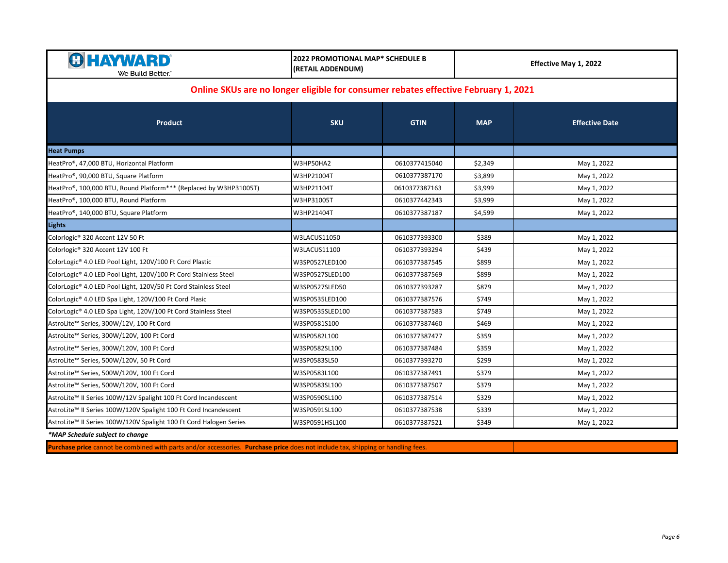| <b>HAYWARD</b><br>We Build Better.`                                                | 2022 PROMOTIONAL MAP* SCHEDULE B<br>(RETAIL ADDENDUM) |               | Effective May 1, 2022 |                       |  |  |
|------------------------------------------------------------------------------------|-------------------------------------------------------|---------------|-----------------------|-----------------------|--|--|
| Online SKUs are no longer eligible for consumer rebates effective February 1, 2021 |                                                       |               |                       |                       |  |  |
| <b>Product</b>                                                                     | <b>SKU</b>                                            | <b>GTIN</b>   | <b>MAP</b>            | <b>Effective Date</b> |  |  |
| <b>Heat Pumps</b>                                                                  |                                                       |               |                       |                       |  |  |
| HeatPro®, 47,000 BTU, Horizontal Platform                                          | W3HP50HA2                                             | 0610377415040 | \$2,349               | May 1, 2022           |  |  |
| HeatPro®, 90,000 BTU, Square Platform                                              | W3HP21004T                                            | 0610377387170 | \$3,899               | May 1, 2022           |  |  |
| HeatPro®, 100,000 BTU, Round Platform*** (Replaced by W3HP31005T)                  | W3HP21104T                                            | 0610377387163 | \$3,999               | May 1, 2022           |  |  |
| HeatPro®, 100,000 BTU, Round Platform                                              | W3HP31005T                                            | 0610377442343 | \$3,999               | May 1, 2022           |  |  |
| HeatPro®, 140,000 BTU, Square Platform                                             | W3HP21404T                                            | 0610377387187 | \$4,599               | May 1, 2022           |  |  |
| <b>Lights</b>                                                                      |                                                       |               |                       |                       |  |  |
| Colorlogic® 320 Accent 12V 50 Ft                                                   | W3LACUS11050                                          | 0610377393300 | \$389                 | May 1, 2022           |  |  |
| Colorlogic® 320 Accent 12V 100 Ft                                                  | W3LACUS11100                                          | 0610377393294 | \$439                 | May 1, 2022           |  |  |
| ColorLogic® 4.0 LED Pool Light, 120V/100 Ft Cord Plastic                           | W3SP0527LED100                                        | 0610377387545 | \$899                 | May 1, 2022           |  |  |
| ColorLogic® 4.0 LED Pool Light, 120V/100 Ft Cord Stainless Steel                   | W3SP0527SLED100                                       | 0610377387569 | \$899                 | May 1, 2022           |  |  |
| ColorLogic® 4.0 LED Pool Light, 120V/50 Ft Cord Stainless Steel                    | W3SP0527SLED50                                        | 0610377393287 | \$879                 | May 1, 2022           |  |  |
| ColorLogic® 4.0 LED Spa Light, 120V/100 Ft Cord Plasic                             | W3SP0535LED100                                        | 0610377387576 | \$749                 | May 1, 2022           |  |  |
| ColorLogic® 4.0 LED Spa Light, 120V/100 Ft Cord Stainless Steel                    | W3SP0535SLED100                                       | 0610377387583 | \$749                 | May 1, 2022           |  |  |
| AstroLite™ Series, 300W/12V, 100 Ft Cord                                           | W3SP0581S100                                          | 0610377387460 | \$469                 | May 1, 2022           |  |  |
| AstroLite™ Series, 300W/120V, 100 Ft Cord                                          | W3SP0582L100                                          | 0610377387477 | \$359                 | May 1, 2022           |  |  |
| AstroLite™ Series, 300W/120V, 100 Ft Cord                                          | W3SP0582SL100                                         | 0610377387484 | \$359                 | May 1, 2022           |  |  |
| AstroLite™ Series, 500W/120V, 50 Ft Cord                                           | W3SP0583SL50                                          | 0610377393270 | \$299                 | May 1, 2022           |  |  |
| AstroLite™ Series, 500W/120V, 100 Ft Cord                                          | W3SP0583L100                                          | 0610377387491 | \$379                 | May 1, 2022           |  |  |
| AstroLite™ Series, 500W/120V, 100 Ft Cord                                          | W3SP0583SL100                                         | 0610377387507 | \$379                 | May 1, 2022           |  |  |
| AstroLite™ II Series 100W/12V Spalight 100 Ft Cord Incandescent                    | W3SP0590SL100                                         | 0610377387514 | \$329                 | May 1, 2022           |  |  |
| AstroLite™ II Series 100W/120V Spalight 100 Ft Cord Incandescent                   | W3SP0591SL100                                         | 0610377387538 | \$339                 | May 1, 2022           |  |  |
| AstroLite™ II Series 100W/120V Spalight 100 Ft Cord Halogen Series                 | W3SP0591HSL100                                        | 0610377387521 | \$349                 | May 1, 2022           |  |  |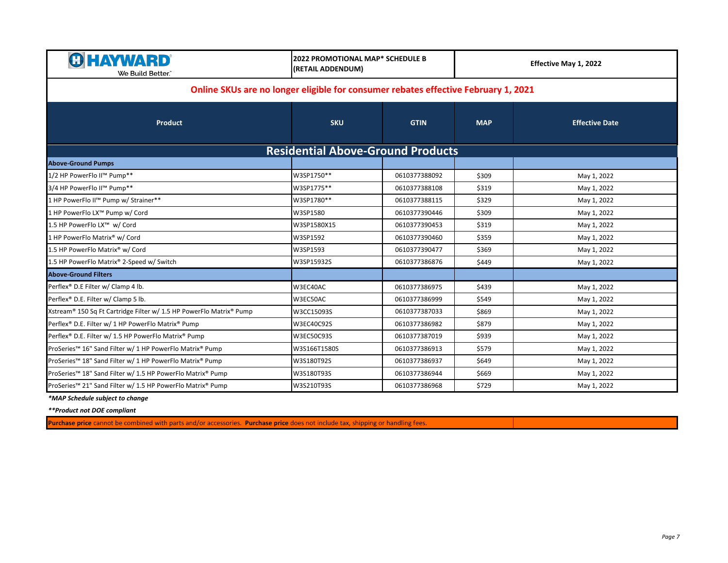| <b>&amp; HAYWARD</b><br>We Build Better.                                                    | <b>2022 PROMOTIONAL MAP* SCHEDULE B</b><br>(RETAIL ADDENDUM) |               | Effective May 1, 2022 |                       |  |
|---------------------------------------------------------------------------------------------|--------------------------------------------------------------|---------------|-----------------------|-----------------------|--|
| Online SKUs are no longer eligible for consumer rebates effective February 1, 2021          |                                                              |               |                       |                       |  |
| Product                                                                                     | <b>SKU</b>                                                   | <b>GTIN</b>   | <b>MAP</b>            | <b>Effective Date</b> |  |
|                                                                                             | <b>Residential Above-Ground Products</b>                     |               |                       |                       |  |
| <b>Above-Ground Pumps</b>                                                                   |                                                              |               |                       |                       |  |
| 1/2 HP PowerFlo II™ Pump**                                                                  | W3SP1750**                                                   | 0610377388092 | \$309                 | May 1, 2022           |  |
| 3/4 HP PowerFlo II™ Pump**                                                                  | W3SP1775**                                                   | 0610377388108 | \$319                 | May 1, 2022           |  |
| 1 HP PowerFlo II™ Pump w/ Strainer**                                                        | W3SP1780**                                                   | 0610377388115 | \$329                 | May 1, 2022           |  |
| 1 HP PowerFlo LX™ Pump w/ Cord                                                              | W3SP1580                                                     | 0610377390446 | \$309                 | May 1, 2022           |  |
| 1.5 HP PowerFlo LX™ w/ Cord                                                                 | W3SP1580X15                                                  | 0610377390453 | \$319                 | May 1, 2022           |  |
| 1 HP PowerFlo Matrix® w/ Cord                                                               | W3SP1592                                                     | 0610377390460 | \$359                 | May 1, 2022           |  |
| 1.5 HP PowerFlo Matrix® w/ Cord                                                             | W3SP1593                                                     | 0610377390477 | \$369                 | May 1, 2022           |  |
| 1.5 HP PowerFlo Matrix® 2-Speed w/ Switch                                                   | W3SP15932S                                                   | 0610377386876 | \$449                 | May 1, 2022           |  |
| <b>Above-Ground Filters</b>                                                                 |                                                              |               |                       |                       |  |
| Perflex® D.E Filter w/ Clamp 4 lb.                                                          | W3EC40AC                                                     | 0610377386975 | \$439                 | May 1, 2022           |  |
| Perflex® D.E. Filter w/ Clamp 5 lb.                                                         | W3EC50AC                                                     | 0610377386999 | \$549                 | May 1, 2022           |  |
| Xstream <sup>®</sup> 150 Sq Ft Cartridge Filter w/ 1.5 HP PowerFlo Matrix <sup>®</sup> Pump | W3CC15093S                                                   | 0610377387033 | \$869                 | May 1, 2022           |  |
| Perflex® D.E. Filter w/ 1 HP PowerFlo Matrix® Pump                                          | W3EC40C92S                                                   | 0610377386982 | \$879                 | May 1, 2022           |  |
| Perflex® D.E. Filter w/ 1.5 HP PowerFlo Matrix® Pump                                        | W3EC50C93S                                                   | 0610377387019 | \$939                 | May 1, 2022           |  |
| ProSeries™ 16" Sand Filter w/ 1 HP PowerFlo Matrix® Pump                                    | W3S166T1580S                                                 | 0610377386913 | \$579                 | May 1, 2022           |  |
| ProSeries™ 18" Sand Filter w/ 1 HP PowerFlo Matrix® Pump                                    | W3S180T92S                                                   | 0610377386937 | \$649                 | May 1, 2022           |  |
| ProSeries™ 18" Sand Filter w/ 1.5 HP PowerFlo Matrix® Pump                                  | W3S180T93S                                                   | 0610377386944 | \$669                 | May 1, 2022           |  |
| ProSeries™ 21" Sand Filter w/ 1.5 HP PowerFlo Matrix® Pump                                  | W3S210T93S                                                   | 0610377386968 | \$729                 | May 1, 2022           |  |

*\*\*Product not DOE compliant*